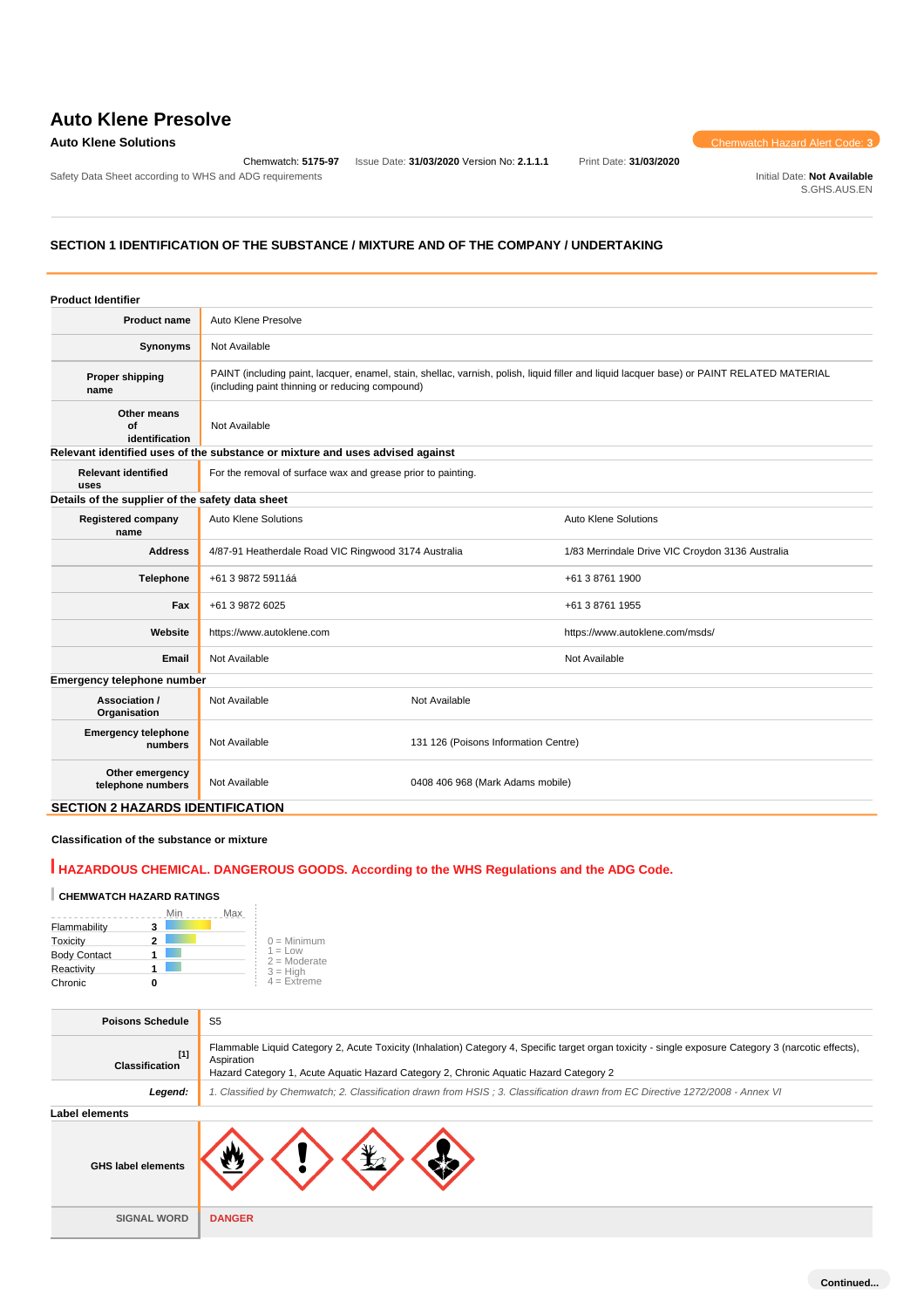# **Auto Klene Presolve**

Safety Data Sheet according to WHS and ADG requirements **Initial Date: Not Available** Initial Date: Not Available

Chemwatch: **5175-97** Issue Date: **31/03/2020** Version No: **2.1.1.1** Print Date: **31/03/2020**

**Auto Klene Solutions** Chemwatch Hazard Alert Code: **3** 

S.GHS.AUS.EN

# **SECTION 1 IDENTIFICATION OF THE SUBSTANCE / MIXTURE AND OF THE COMPANY / UNDERTAKING**

| <b>Product Identifier</b>                        |                                                                                                                                                                                               |                                      |                                                  |
|--------------------------------------------------|-----------------------------------------------------------------------------------------------------------------------------------------------------------------------------------------------|--------------------------------------|--------------------------------------------------|
| <b>Product name</b>                              | Auto Klene Presolve                                                                                                                                                                           |                                      |                                                  |
| <b>Synonyms</b>                                  | Not Available                                                                                                                                                                                 |                                      |                                                  |
| <b>Proper shipping</b><br>name                   | PAINT (including paint, lacquer, enamel, stain, shellac, varnish, polish, liquid filler and liquid lacquer base) or PAINT RELATED MATERIAL<br>(including paint thinning or reducing compound) |                                      |                                                  |
| Other means<br>of<br>identification              | Not Available                                                                                                                                                                                 |                                      |                                                  |
|                                                  | Relevant identified uses of the substance or mixture and uses advised against                                                                                                                 |                                      |                                                  |
| <b>Relevant identified</b><br>uses               | For the removal of surface wax and grease prior to painting.                                                                                                                                  |                                      |                                                  |
| Details of the supplier of the safety data sheet |                                                                                                                                                                                               |                                      |                                                  |
| <b>Registered company</b><br>name                | <b>Auto Klene Solutions</b>                                                                                                                                                                   |                                      | <b>Auto Klene Solutions</b>                      |
| <b>Address</b>                                   | 4/87-91 Heatherdale Road VIC Ringwood 3174 Australia                                                                                                                                          |                                      | 1/83 Merrindale Drive VIC Croydon 3136 Australia |
| Telephone                                        | +61 3 9872 5911áá                                                                                                                                                                             |                                      | +61 3 8761 1900                                  |
| Fax                                              | +61 3 9872 6025                                                                                                                                                                               |                                      | +61 3 8761 1955                                  |
| Website                                          | https://www.autoklene.com                                                                                                                                                                     |                                      | https://www.autoklene.com/msds/                  |
| Email                                            | Not Available                                                                                                                                                                                 |                                      | Not Available                                    |
| Emergency telephone number                       |                                                                                                                                                                                               |                                      |                                                  |
| Association /<br>Organisation                    | Not Available                                                                                                                                                                                 | Not Available                        |                                                  |
| <b>Emergency telephone</b><br>numbers            | Not Available                                                                                                                                                                                 | 131 126 (Poisons Information Centre) |                                                  |
| Other emergency<br>telephone numbers             | Not Available<br>0408 406 968 (Mark Adams mobile)                                                                                                                                             |                                      |                                                  |
| <b>SECTION 2 HAZARDS IDENTIFICATION</b>          |                                                                                                                                                                                               |                                      |                                                  |

# **Classification of the substance or mixture**

# **HAZARDOUS CHEMICAL. DANGEROUS GOODS. According to the WHS Regulations and the ADG Code.**

 $\overline{\phantom{a}}$ 

# **CHEMWATCH HAZARD RATINGS**

|                     |   | Min | Max |                                    |  |
|---------------------|---|-----|-----|------------------------------------|--|
| Flammability        | 3 |     |     |                                    |  |
| Toxicity            | 2 |     |     | $0 =$ Minimum                      |  |
| <b>Body Contact</b> |   |     |     | $1 = 1$ $\Omega$<br>$2 =$ Moderate |  |
| Reactivity          |   |     |     | $3 = H$ igh                        |  |
| Chronic             |   |     |     | $4 =$ Extreme                      |  |

| <b>Poisons Schedule</b>        | S <sub>5</sub>                                                                                                                                                                                                                                              |
|--------------------------------|-------------------------------------------------------------------------------------------------------------------------------------------------------------------------------------------------------------------------------------------------------------|
| $[1]$<br><b>Classification</b> | Flammable Liquid Category 2, Acute Toxicity (Inhalation) Category 4, Specific target organ toxicity - single exposure Category 3 (narcotic effects),<br>Aspiration<br>Hazard Category 1, Acute Aquatic Hazard Category 2, Chronic Aquatic Hazard Category 2 |
| Legend:                        | 1. Classified by Chemwatch; 2. Classification drawn from HSIS; 3. Classification drawn from EC Directive 1272/2008 - Annex VI                                                                                                                               |
| Label elements                 |                                                                                                                                                                                                                                                             |
| <b>GHS label elements</b>      |                                                                                                                                                                                                                                                             |
| <b>SIGNAL WORD</b>             | <b>DANGER</b>                                                                                                                                                                                                                                               |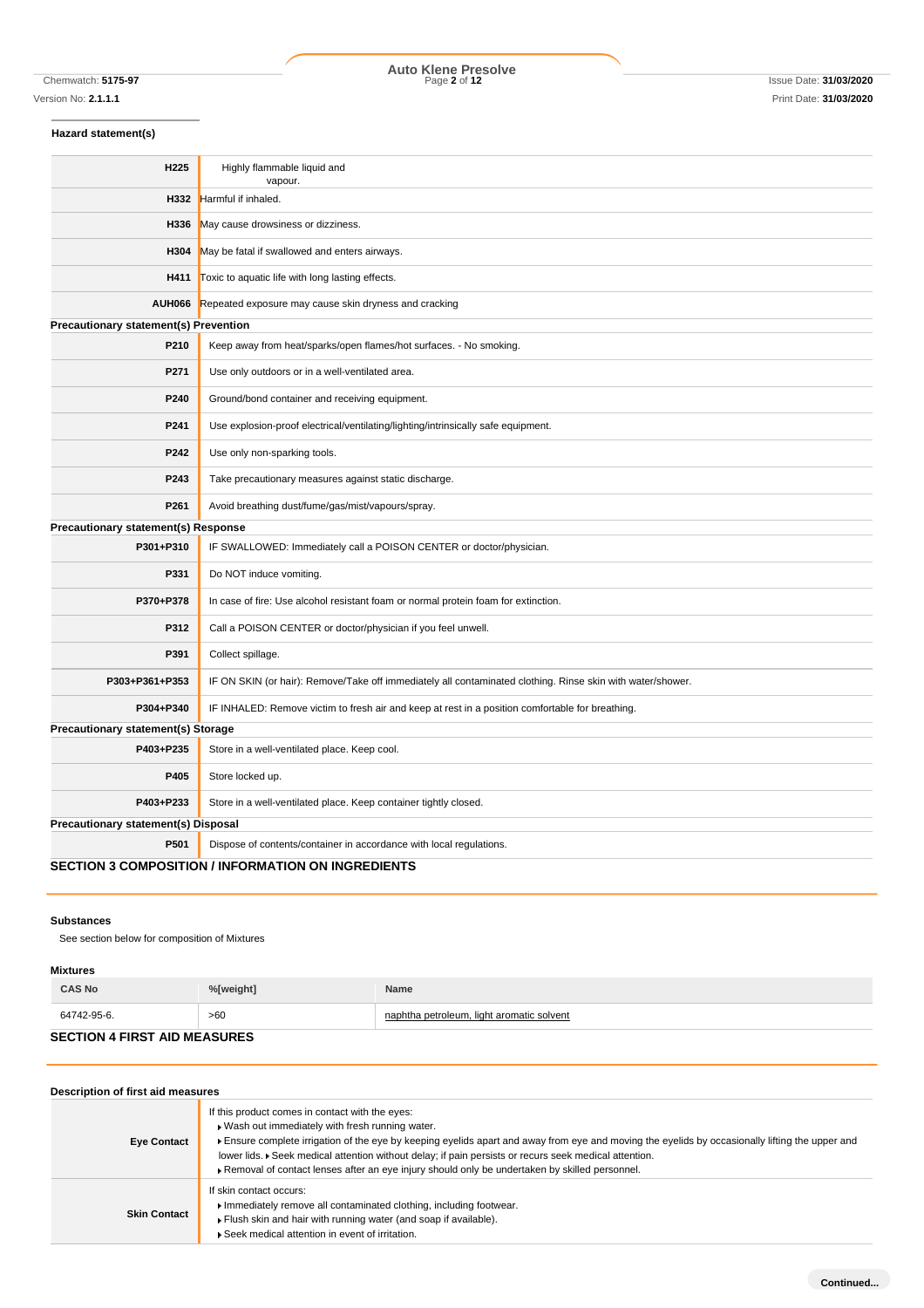Chemwatch: **5175-97** Page **2** of **12** Issue Date: **31/03/2020 Auto Klene Presolve**

# **Hazard statement(s)**

| H225                                       | Highly flammable liquid and<br>vapour.                                                                     |
|--------------------------------------------|------------------------------------------------------------------------------------------------------------|
|                                            | H332 Harmful if inhaled.                                                                                   |
| H336                                       | May cause drowsiness or dizziness.                                                                         |
| H304                                       | May be fatal if swallowed and enters airways.                                                              |
| H411                                       | Toxic to aquatic life with long lasting effects.                                                           |
| <b>AUH066</b>                              | Repeated exposure may cause skin dryness and cracking                                                      |
| Precautionary statement(s) Prevention      |                                                                                                            |
| P210                                       | Keep away from heat/sparks/open flames/hot surfaces. - No smoking.                                         |
| P271                                       | Use only outdoors or in a well-ventilated area.                                                            |
| P240                                       | Ground/bond container and receiving equipment.                                                             |
| P241                                       | Use explosion-proof electrical/ventilating/lighting/intrinsically safe equipment.                          |
| P242                                       | Use only non-sparking tools.                                                                               |
| P243                                       | Take precautionary measures against static discharge.                                                      |
| P261                                       | Avoid breathing dust/fume/gas/mist/vapours/spray.                                                          |
| <b>Precautionary statement(s) Response</b> |                                                                                                            |
| P301+P310                                  | IF SWALLOWED: Immediately call a POISON CENTER or doctor/physician.                                        |
| P331                                       | Do NOT induce vomiting.                                                                                    |
| P370+P378                                  | In case of fire: Use alcohol resistant foam or normal protein foam for extinction.                         |
| P312                                       | Call a POISON CENTER or doctor/physician if you feel unwell.                                               |
| P391                                       | Collect spillage.                                                                                          |
| P303+P361+P353                             | IF ON SKIN (or hair): Remove/Take off immediately all contaminated clothing. Rinse skin with water/shower. |
| P304+P340                                  | IF INHALED: Remove victim to fresh air and keep at rest in a position comfortable for breathing.           |
| Precautionary statement(s) Storage         |                                                                                                            |
| P403+P235                                  | Store in a well-ventilated place. Keep cool.                                                               |
| P405                                       | Store locked up.                                                                                           |
| P403+P233                                  | Store in a well-ventilated place. Keep container tightly closed.                                           |
| Precautionary statement(s) Disposal        |                                                                                                            |
| P501                                       | Dispose of contents/container in accordance with local regulations.                                        |
|                                            | <b>SECTION 3 COMPOSITION / INFORMATION ON INGREDIENTS</b>                                                  |

#### **Substances**

See section below for composition of Mixtures

### **Mixtures**

| <b>CAS No</b>                       | %[weight] | Name                                      |  |
|-------------------------------------|-----------|-------------------------------------------|--|
| 64742-95-6.                         | >60       | naphtha petroleum, light aromatic solvent |  |
| <b>SECTION 4 FIRST AID MEASURES</b> |           |                                           |  |

| Description of first aid measures |                                                                                                                                                                                                                                                                                                                                                                                                                                                                   |
|-----------------------------------|-------------------------------------------------------------------------------------------------------------------------------------------------------------------------------------------------------------------------------------------------------------------------------------------------------------------------------------------------------------------------------------------------------------------------------------------------------------------|
| <b>Eye Contact</b>                | If this product comes in contact with the eyes:<br>▶ Wash out immediately with fresh running water.<br>Ensure complete irrigation of the eye by keeping eyelids apart and away from eye and moving the eyelids by occasionally lifting the upper and<br>lower lids. • Seek medical attention without delay; if pain persists or recurs seek medical attention.<br>▶ Removal of contact lenses after an eye injury should only be undertaken by skilled personnel. |
| <b>Skin Contact</b>               | If skin contact occurs:<br>Immediately remove all contaminated clothing, including footwear.<br>Flush skin and hair with running water (and soap if available).<br>▶ Seek medical attention in event of irritation.                                                                                                                                                                                                                                               |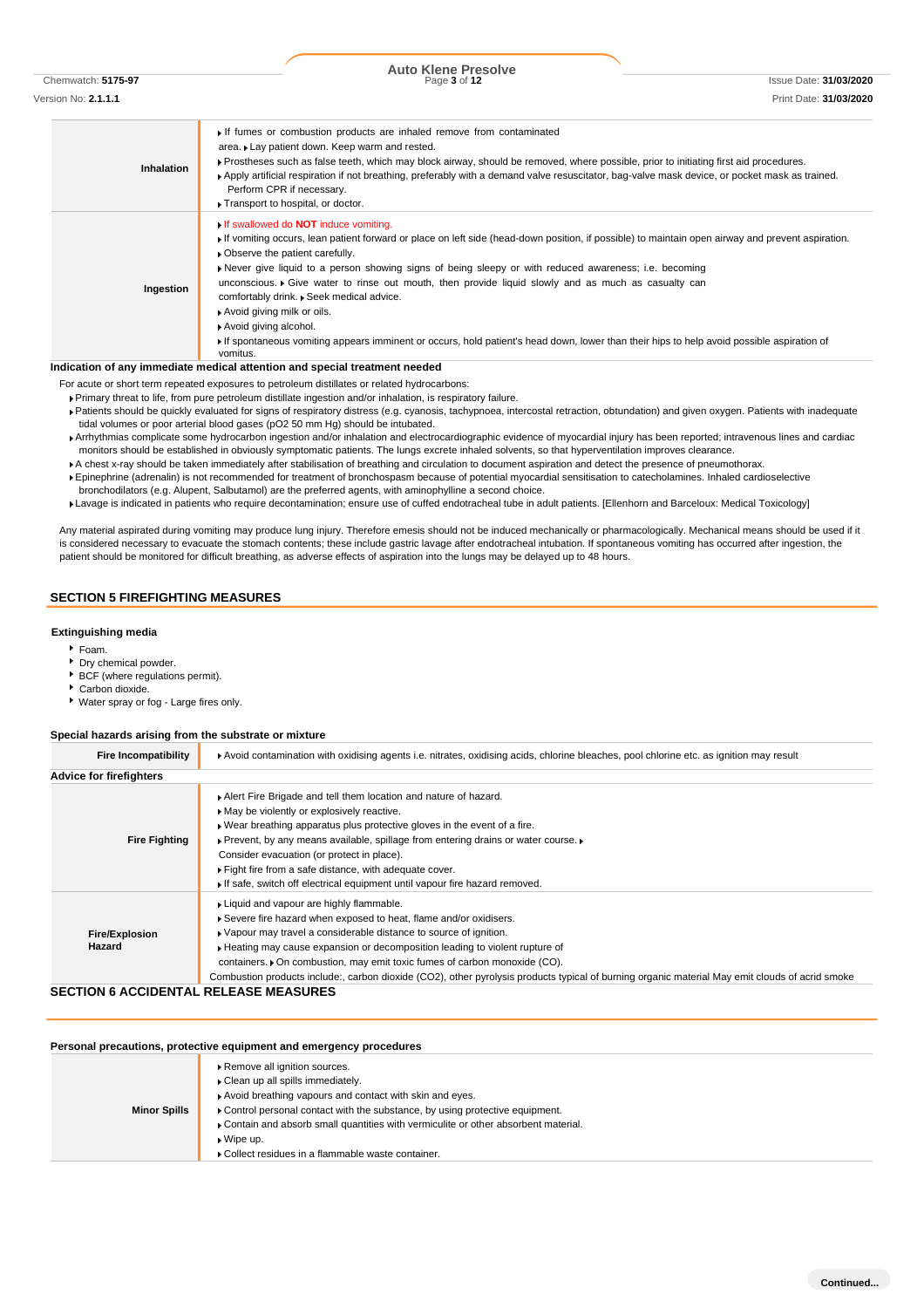Chemwatch: **5175-97** Page **3** of **12** Issue Date: **31/03/2020 Auto Klene Presolve**

| Version No: 2.1.1.1 | Print Date: 31/03/2020 |
|---------------------|------------------------|
|                     |                        |

**Inhalation** If fumes or combustion products are inhaled remove from contaminated area. Lay patient down. Keep warm and rested. Prostheses such as false teeth, which may block airway, should be removed, where possible, prior to initiating first aid procedures. Apply artificial respiration if not breathing, preferably with a demand valve resuscitator, bag-valve mask device, or pocket mask as trained. Perform CPR if necessary. **Transport to hospital, or doctor. Ingestion** If swallowed do **NOT** induce vomiting. If vomiting occurs, lean patient forward or place on left side (head-down position, if possible) to maintain open airway and prevent aspiration. Observe the patient carefully. Never give liquid to a person showing signs of being sleepy or with reduced awareness; i.e. becoming unconscious. Give water to rinse out mouth, then provide liquid slowly and as much as casualty can comfortably drink. Seek medical advice. Avoid giving milk or oils. Avoid giving alcohol. If spontaneous vomiting appears imminent or occurs, hold patient's head down, lower than their hips to help avoid possible aspiration of vomitus.

#### **Indication of any immediate medical attention and special treatment needed**

For acute or short term repeated exposures to petroleum distillates or related hydrocarbons:

Primary threat to life, from pure petroleum distillate ingestion and/or inhalation, is respiratory failure.

- Patients should be quickly evaluated for signs of respiratory distress (e.g. cyanosis, tachypnoea, intercostal retraction, obtundation) and given oxygen. Patients with inadequate tidal volumes or poor arterial blood gases (pO2 50 mm Hg) should be intubated.
- Arrhythmias complicate some hydrocarbon ingestion and/or inhalation and electrocardiographic evidence of myocardial injury has been reported; intravenous lines and cardiac monitors should be established in obviously symptomatic patients. The lungs excrete inhaled solvents, so that hyperventilation improves clearance.
- A chest x-ray should be taken immediately after stabilisation of breathing and circulation to document aspiration and detect the presence of pneumothorax.
- Epinephrine (adrenalin) is not recommended for treatment of bronchospasm because of potential myocardial sensitisation to catecholamines. Inhaled cardioselective bronchodilators (e.g. Alupent, Salbutamol) are the preferred agents, with aminophylline a second choice.
- Lavage is indicated in patients who require decontamination; ensure use of cuffed endotracheal tube in adult patients. [Ellenhorn and Barceloux: Medical Toxicology]

Any material aspirated during vomiting may produce lung injury. Therefore emesis should not be induced mechanically or pharmacologically. Mechanical means should be used if it is considered necessary to evacuate the stomach contents; these include gastric lavage after endotracheal intubation. If spontaneous vomiting has occurred after ingestion, the patient should be monitored for difficult breathing, as adverse effects of aspiration into the lungs may be delayed up to 48 hours.

## **SECTION 5 FIREFIGHTING MEASURES**

#### **Extinguishing media**

- $F$ Foam.
- Dry chemical powder.
- BCF (where regulations permit).
- Carbon dioxide.
- Water spray or fog Large fires only.

#### **Special hazards arising from the substrate or mixture**

| Fire Incompatibility            | Avoid contamination with oxidising agents i.e. nitrates, oxidising acids, chlorine bleaches, pool chlorine etc. as ignition may result                                                                                                                                                                                                                                                                                                                                                             |
|---------------------------------|----------------------------------------------------------------------------------------------------------------------------------------------------------------------------------------------------------------------------------------------------------------------------------------------------------------------------------------------------------------------------------------------------------------------------------------------------------------------------------------------------|
| <b>Advice for firefighters</b>  |                                                                                                                                                                                                                                                                                                                                                                                                                                                                                                    |
| <b>Fire Fighting</b>            | Alert Fire Brigade and tell them location and nature of hazard.<br>May be violently or explosively reactive.<br>. Wear breathing apparatus plus protective gloves in the event of a fire.<br>▶ Prevent, by any means available, spillage from entering drains or water course.<br>Consider evacuation (or protect in place).<br>Fight fire from a safe distance, with adequate cover.<br>If safe, switch off electrical equipment until vapour fire hazard removed.                                |
| <b>Fire/Explosion</b><br>Hazard | Liquid and vapour are highly flammable.<br>Severe fire hazard when exposed to heat, flame and/or oxidisers.<br>• Vapour may travel a considerable distance to source of ignition.<br>► Heating may cause expansion or decomposition leading to violent rupture of<br>containers. • On combustion, may emit toxic fumes of carbon monoxide (CO).<br>Combustion products include:, carbon dioxide (CO2), other pyrolysis products typical of burning organic material May emit clouds of acrid smoke |

#### **SECTION 6 ACCIDENTAL RELEASE MEASURES**

| Personal precautions, protective equipment and emergency procedures |                                                                                                                                                                                                                                                                                                                                                                                   |  |  |  |
|---------------------------------------------------------------------|-----------------------------------------------------------------------------------------------------------------------------------------------------------------------------------------------------------------------------------------------------------------------------------------------------------------------------------------------------------------------------------|--|--|--|
| <b>Minor Spills</b>                                                 | Remove all ignition sources.<br>▶ Clean up all spills immediately.<br>Avoid breathing vapours and contact with skin and eyes.<br>• Control personal contact with the substance, by using protective equipment.<br>▶ Contain and absorb small quantities with vermiculite or other absorbent material.<br>$\bullet$ Wipe up.<br>▶ Collect residues in a flammable waste container. |  |  |  |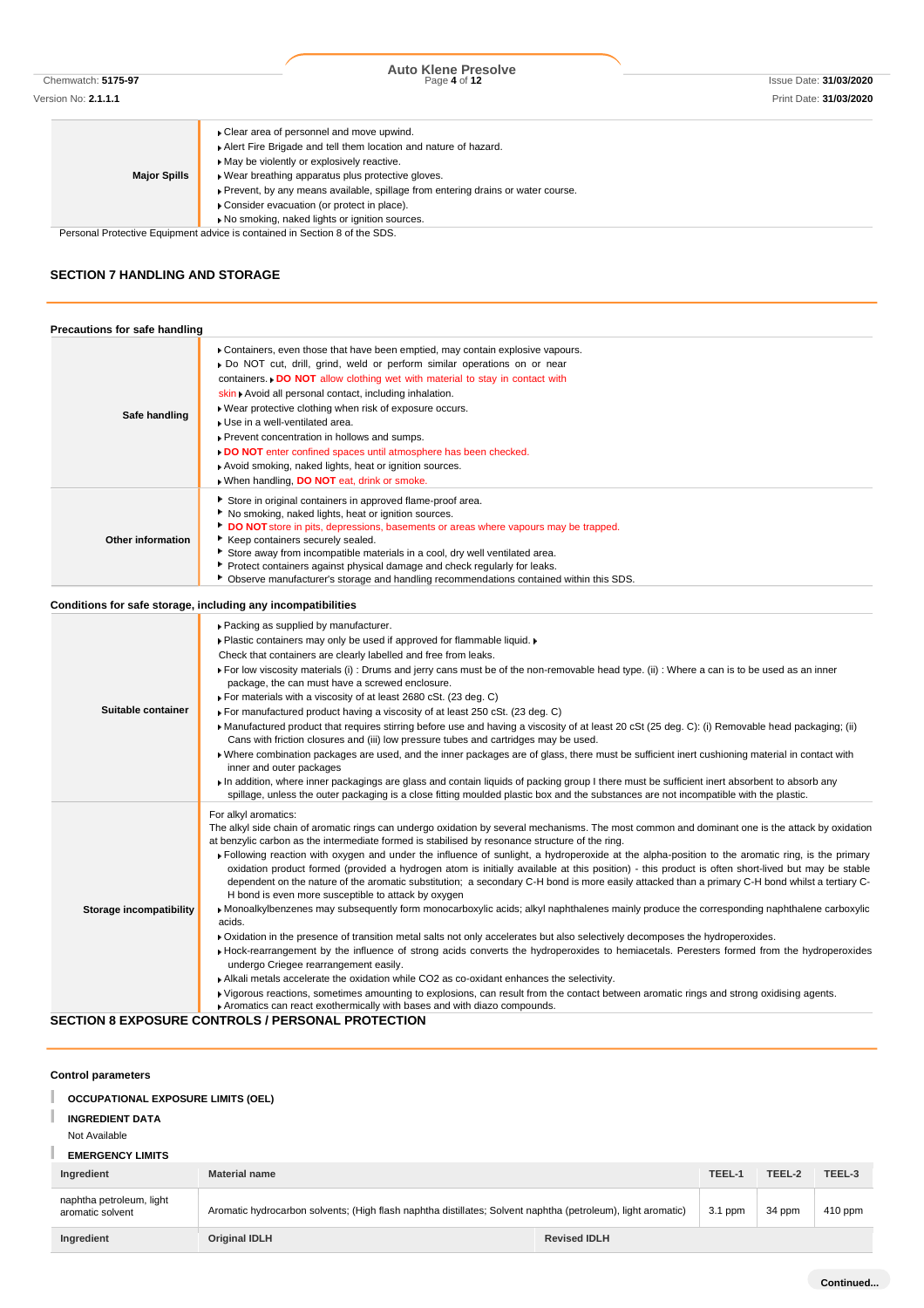Chemwatch: **5175-97** Page **4** of **12** Issue Date: **31/03/2020 Auto Klene Presolve**

#### **Major Spills** Clear area of personnel and move upwind. Alert Fire Brigade and tell them location and nature of hazard. May be violently or explosively reactive. Wear breathing apparatus plus protective gloves. Prevent, by any means available, spillage from entering drains or water course. Consider evacuation (or protect in place). No smoking, naked lights or ignition sources.

Personal Protective Equipment advice is contained in Section 8 of the SDS.

# **SECTION 7 HANDLING AND STORAGE**

| Precautions for safe handling                                                                                                                                                                                                                                                                                                                                                                                                                                                                                                                                                                                                                                                                                                                                                                                                                                                                                                                                                                                                                                                                                                                                                                                                                                                                                                                                                                                                                                                                                                                                                                                                      |
|------------------------------------------------------------------------------------------------------------------------------------------------------------------------------------------------------------------------------------------------------------------------------------------------------------------------------------------------------------------------------------------------------------------------------------------------------------------------------------------------------------------------------------------------------------------------------------------------------------------------------------------------------------------------------------------------------------------------------------------------------------------------------------------------------------------------------------------------------------------------------------------------------------------------------------------------------------------------------------------------------------------------------------------------------------------------------------------------------------------------------------------------------------------------------------------------------------------------------------------------------------------------------------------------------------------------------------------------------------------------------------------------------------------------------------------------------------------------------------------------------------------------------------------------------------------------------------------------------------------------------------|
| ► Containers, even those that have been emptied, may contain explosive vapours.<br>Do NOT cut, drill, grind, weld or perform similar operations on or near<br>containers. DO NOT allow clothing wet with material to stay in contact with<br>skin Avoid all personal contact, including inhalation.<br>Wear protective clothing when risk of exposure occurs.<br>▶ Use in a well-ventilated area.<br>Prevent concentration in hollows and sumps.<br>DO NOT enter confined spaces until atmosphere has been checked.<br>Avoid smoking, naked lights, heat or ignition sources.<br>When handling, <b>DO NOT</b> eat, drink or smoke.                                                                                                                                                                                                                                                                                                                                                                                                                                                                                                                                                                                                                                                                                                                                                                                                                                                                                                                                                                                                 |
| Store in original containers in approved flame-proof area.<br>No smoking, naked lights, heat or ignition sources.<br>DO NOT store in pits, depressions, basements or areas where vapours may be trapped.<br>Keep containers securely sealed.<br>Store away from incompatible materials in a cool, dry well ventilated area.<br>Protect containers against physical damage and check regularly for leaks.<br>• Observe manufacturer's storage and handling recommendations contained within this SDS.                                                                                                                                                                                                                                                                                                                                                                                                                                                                                                                                                                                                                                                                                                                                                                                                                                                                                                                                                                                                                                                                                                                               |
| Conditions for safe storage, including any incompatibilities                                                                                                                                                                                                                                                                                                                                                                                                                                                                                                                                                                                                                                                                                                                                                                                                                                                                                                                                                                                                                                                                                                                                                                                                                                                                                                                                                                                                                                                                                                                                                                       |
| ▶ Packing as supplied by manufacturer.<br>▶ Plastic containers may only be used if approved for flammable liquid. ▶<br>Check that containers are clearly labelled and free from leaks.<br>For low viscosity materials (i): Drums and jerry cans must be of the non-removable head type. (ii): Where a can is to be used as an inner<br>package, the can must have a screwed enclosure.<br>For materials with a viscosity of at least 2680 cSt. (23 deg. C)<br>► For manufactured product having a viscosity of at least 250 cSt. (23 deg. C)<br>Manufactured product that requires stirring before use and having a viscosity of at least 20 cSt (25 deg. C): (i) Removable head packaging; (ii)<br>Cans with friction closures and (iii) low pressure tubes and cartridges may be used.<br>» Where combination packages are used, and the inner packages are of glass, there must be sufficient inert cushioning material in contact with<br>inner and outer packages<br>In addition, where inner packagings are glass and contain liquids of packing group I there must be sufficient inert absorbent to absorb any<br>spillage, unless the outer packaging is a close fitting moulded plastic box and the substances are not incompatible with the plastic.                                                                                                                                                                                                                                                                                                                                                                     |
| For alkyl aromatics:<br>The alkyl side chain of aromatic rings can undergo oxidation by several mechanisms. The most common and dominant one is the attack by oxidation<br>at benzylic carbon as the intermediate formed is stabilised by resonance structure of the ring.<br>Following reaction with oxygen and under the influence of sunlight, a hydroperoxide at the alpha-position to the aromatic ring, is the primary<br>oxidation product formed (provided a hydrogen atom is initially available at this position) - this product is often short-lived but may be stable<br>dependent on the nature of the aromatic substitution; a secondary C-H bond is more easily attacked than a primary C-H bond whilst a tertiary C-<br>H bond is even more susceptible to attack by oxygen<br>• Monoalkylbenzenes may subsequently form monocarboxylic acids; alkyl naphthalenes mainly produce the corresponding naphthalene carboxylic<br>acids.<br>► Oxidation in the presence of transition metal salts not only accelerates but also selectively decomposes the hydroperoxides.<br>▶ Hock-rearrangement by the influence of strong acids converts the hydroperoxides to hemiacetals. Peresters formed from the hydroperoxides<br>undergo Criegee rearrangement easily.<br>Alkali metals accelerate the oxidation while CO2 as co-oxidant enhances the selectivity.<br>▶ Vigorous reactions, sometimes amounting to explosions, can result from the contact between aromatic rings and strong oxidising agents.<br>Aromatics can react exothermically with bases and with diazo compounds.<br>CONTROLS ( REBSONAL BROTECTION) |
|                                                                                                                                                                                                                                                                                                                                                                                                                                                                                                                                                                                                                                                                                                                                                                                                                                                                                                                                                                                                                                                                                                                                                                                                                                                                                                                                                                                                                                                                                                                                                                                                                                    |

#### **SECTION 8 EXPOSURE CONTROLS / PERSONAL PROTECTION**

#### **Control parameters**

|                                              | <b>OCCUPATIONAL EXPOSURE LIMITS (OEL)</b>                                                                    |                     |           |        |           |  |
|----------------------------------------------|--------------------------------------------------------------------------------------------------------------|---------------------|-----------|--------|-----------|--|
| <b>INGREDIENT DATA</b>                       |                                                                                                              |                     |           |        |           |  |
|                                              | Not Available                                                                                                |                     |           |        |           |  |
| <b>EMERGENCY LIMITS</b>                      |                                                                                                              |                     |           |        |           |  |
| Ingredient                                   | <b>Material name</b>                                                                                         |                     |           | TEEL-2 | TEEL-3    |  |
| naphtha petroleum, light<br>aromatic solvent | Aromatic hydrocarbon solvents; (High flash naphtha distillates; Solvent naphtha (petroleum), light aromatic) |                     | $3.1$ ppm | 34 ppm | $410$ ppm |  |
| Ingredient                                   | <b>Original IDLH</b>                                                                                         | <b>Revised IDLH</b> |           |        |           |  |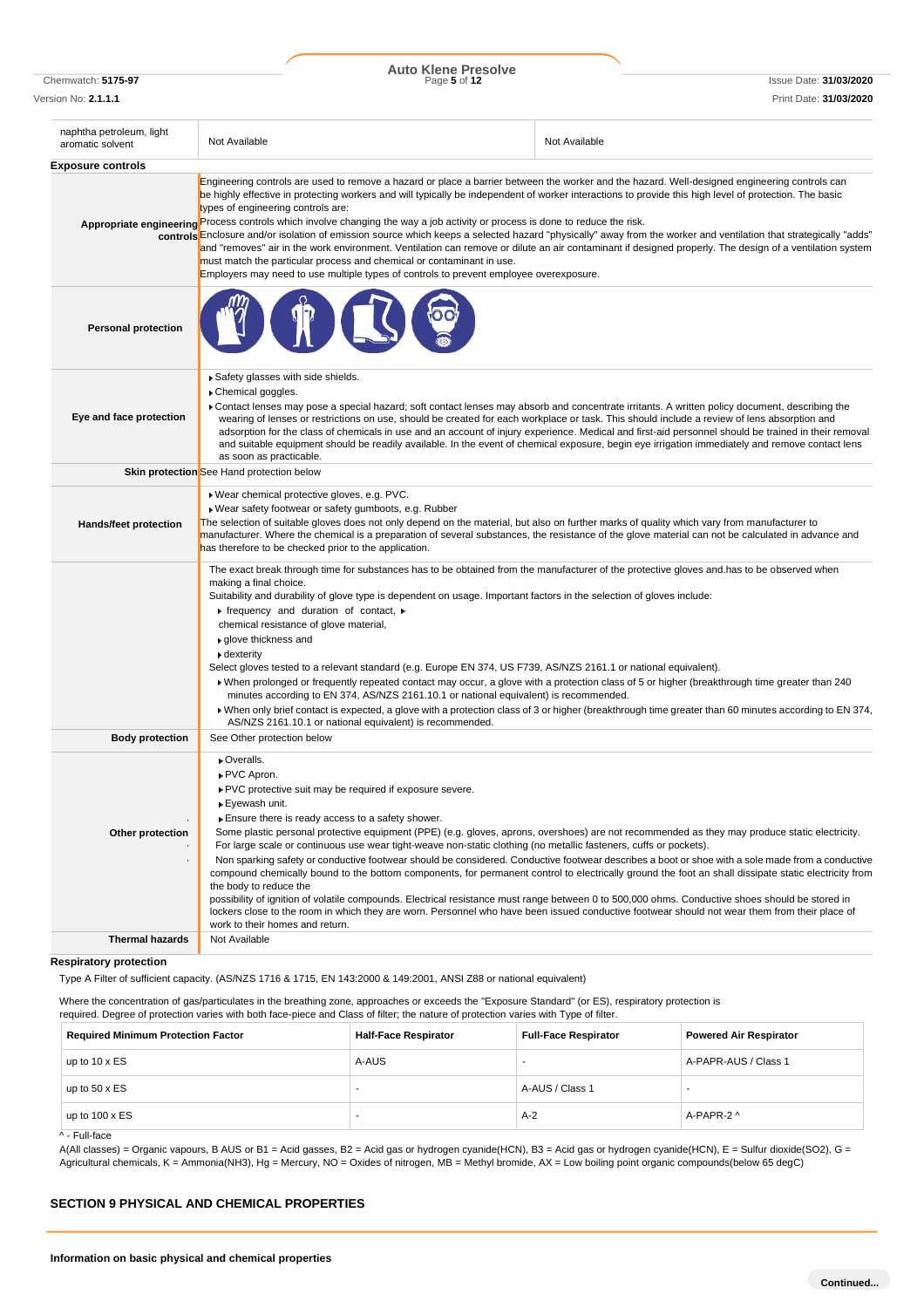#### naphtha petroleum, light aromatic solvent **Not Available** Not Available **Not Available** Not Available **Not Available Exposure controls Appropriate engineering <sup>Process</sup> controls which involve changing the way a job activity or process is done to reduce the risk. controls** Enclosure and/or isolation of emission source which keeps a selected hazard "physically" away from the worker and ventilation that strategically "adds" Engineering controls are used to remove a hazard or place a barrier between the worker and the hazard. Well-designed engineering controls can be highly effective in protecting workers and will typically be independent of worker interactions to provide this high level of protection. The basic types of engineering controls are: and "removes" air in the work environment. Ventilation can remove or dilute an air contaminant if designed properly. The design of a ventilation system must match the particular process and chemical or contaminant in use. Employers may need to use multiple types of controls to prevent employee overexposure. **Personal protection Eye and face protection** Safety glasses with side shields. **Chemical goggles** Contact lenses may pose a special hazard; soft contact lenses may absorb and concentrate irritants. A written policy document, describing the wearing of lenses or restrictions on use, should be created for each workplace or task. This should include a review of lens absorption and adsorption for the class of chemicals in use and an account of injury experience. Medical and first-aid personnel should be trained in their removal and suitable equipment should be readily available. In the event of chemical exposure, begin eye irrigation immediately and remove contact lens as soon as practicable. **Skin protection** See Hand protection below **Hands/feet protection** Wear chemical protective gloves, e.g. PVC. Wear safety footwear or safety gumboots, e.g. Rubber The selection of suitable gloves does not only depend on the material, but also on further marks of quality which vary from manufacturer to manufacturer. Where the chemical is a preparation of several substances, the resistance of the glove material can not be calculated in advance and has therefore to be checked prior to the application. The exact break through time for substances has to be obtained from the manufacturer of the protective gloves and.has to be observed when making a final choice Suitability and durability of glove type is dependent on usage. Important factors in the selection of gloves include:  $\blacktriangleright$  frequency and duration of contact,  $\blacktriangleright$ chemical resistance of glove material, glove thickness and dexterity Select gloves tested to a relevant standard (e.g. Europe EN 374, US F739, AS/NZS 2161.1 or national equivalent). When prolonged or frequently repeated contact may occur, a glove with a protection class of 5 or higher (breakthrough time greater than 240 minutes according to EN 374, AS/NZS 2161.10.1 or national equivalent) is recommended. When only brief contact is expected, a glove with a protection class of 3 or higher (breakthrough time greater than 60 minutes according to EN 374, AS/NZS 2161.10.1 or national equivalent) is recommended. **Body protection** See Other protection below · **Other protection** · Overalls. PVC Apron. PVC protective suit may be required if exposure severe. Eyewash unit. Ensure there is ready access to a safety shower. Some plastic personal protective equipment (PPE) (e.g. gloves, aprons, overshoes) are not recommended as they may produce static electricity. For large scale or continuous use wear tight-weave non-static clothing (no metallic fasteners, cuffs or pockets). · Non sparking safety or conductive footwear should be considered. Conductive footwear describes a boot or shoe with a sole made from a conductive compound chemically bound to the bottom components, for permanent control to electrically ground the foot an shall dissipate static electricity from the body to reduce the possibility of ignition of volatile compounds. Electrical resistance must range between 0 to 500,000 ohms. Conductive shoes should be stored in lockers close to the room in which they are worn. Personnel who have been issued conductive footwear should not wear them from their place of work to their homes and return. **Thermal hazards** Not Available

**Respiratory protection**

Type A Filter of sufficient capacity. (AS/NZS 1716 & 1715, EN 143:2000 & 149:2001, ANSI Z88 or national equivalent)

Where the concentration of gas/particulates in the breathing zone, approaches or exceeds the "Exposure Standard" (or ES), respiratory protection is

required. Degree of protection varies with both face-piece and Class of filter; the nature of protection varies with Type of filter.

| <b>Required Minimum Protection Factor</b> | <b>Half-Face Respirator</b> | <b>Full-Face Respirator</b> | <b>Powered Air Respirator</b> |
|-------------------------------------------|-----------------------------|-----------------------------|-------------------------------|
| up to $10 \times ES$                      | A-AUS                       |                             | A-PAPR-AUS / Class 1          |
| up to $50 \times ES$                      |                             | A-AUS / Class 1             |                               |
| up to $100 \times ES$                     |                             | $A-2$                       | A-PAPR-2 ^                    |
| A - Full-face                             |                             |                             |                               |

A(All classes) = Organic vapours, B AUS or B1 = Acid gasses, B2 = Acid gas or hydrogen cyanide(HCN), B3 = Acid gas or hydrogen cyanide(HCN), E = Sulfur dioxide(SO2), G = Agricultural chemicals, K = Ammonia(NH3), Hg = Mercury, NO = Oxides of nitrogen, MB = Methyl bromide, AX = Low boiling point organic compounds(below 65 degC)

#### **SECTION 9 PHYSICAL AND CHEMICAL PROPERTIES**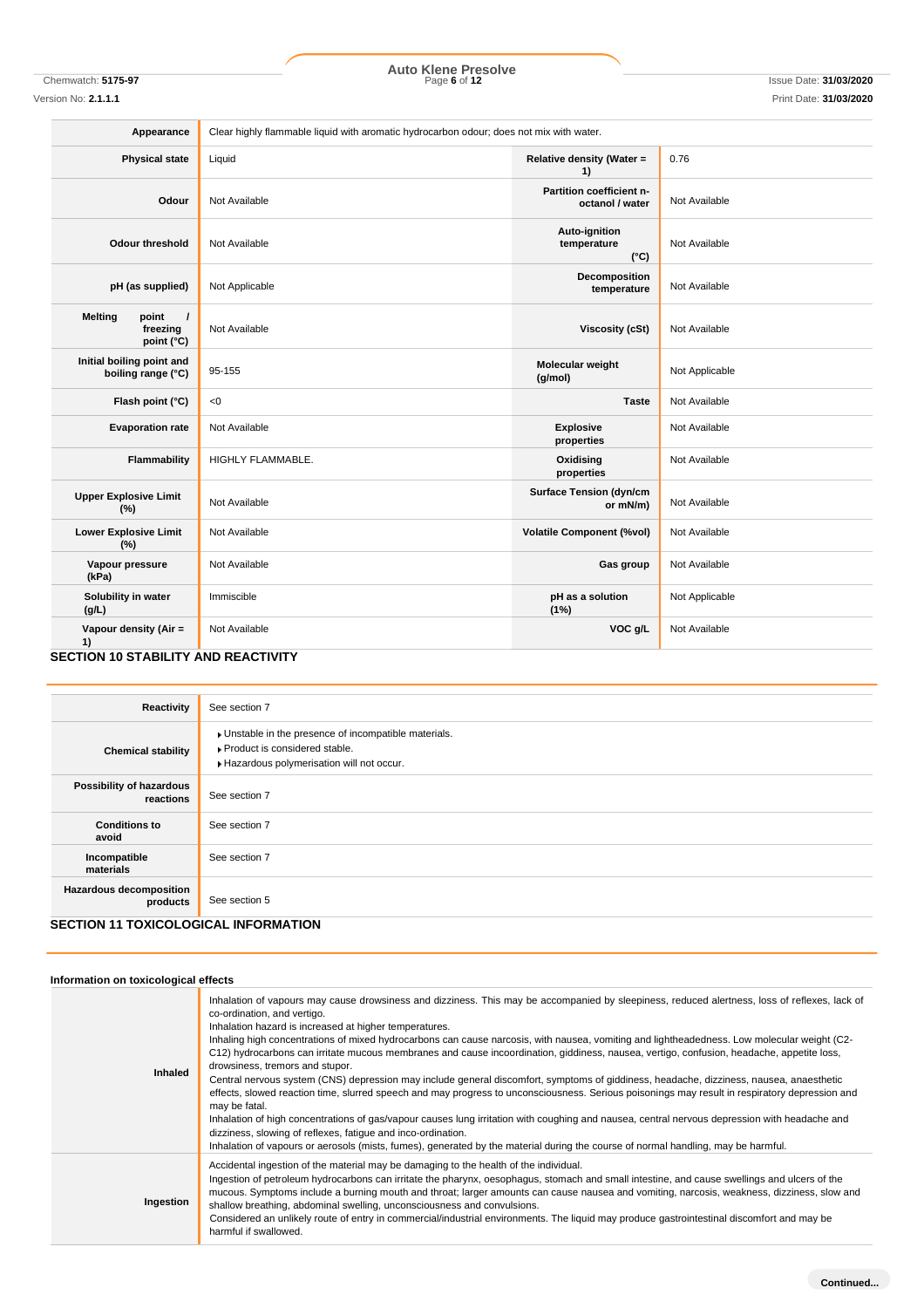Chemwatch: **5175-97 Page 6 of 12 Presolve** Presolve **Presolve Presolve Presolve Presolve Presolve Presolve Presolve Presolve Presolve Presolve Presolve Presolve Presolve Presolve Presolve**

Version No: **2.1.1.1** Print Date: **31/03/2020**

| Appearance                                                    | Clear highly flammable liquid with aromatic hydrocarbon odour; does not mix with water. |                                               |                |  |  |  |
|---------------------------------------------------------------|-----------------------------------------------------------------------------------------|-----------------------------------------------|----------------|--|--|--|
| <b>Physical state</b>                                         | Liquid                                                                                  | 0.76                                          |                |  |  |  |
| Odour                                                         | Not Available                                                                           | Partition coefficient n-<br>octanol / water   | Not Available  |  |  |  |
| <b>Odour threshold</b>                                        | Not Available                                                                           | Auto-ignition<br>temperature<br>$(^{\circ}C)$ | Not Available  |  |  |  |
| pH (as supplied)                                              | Not Applicable                                                                          | Decomposition<br>temperature                  | Not Available  |  |  |  |
| <b>Melting</b><br>point<br>$\prime$<br>freezing<br>point (°C) | Not Available                                                                           | Viscosity (cSt)                               | Not Available  |  |  |  |
| Initial boiling point and<br>boiling range (°C)               | 95-155                                                                                  | Molecular weight<br>(g/mol)                   | Not Applicable |  |  |  |
| Flash point (°C)                                              | < 0                                                                                     | <b>Taste</b>                                  | Not Available  |  |  |  |
| <b>Evaporation rate</b>                                       | Not Available                                                                           | <b>Explosive</b><br>properties                | Not Available  |  |  |  |
| Flammability                                                  | HIGHLY FLAMMABLE.                                                                       | Oxidising<br>properties                       | Not Available  |  |  |  |
| <b>Upper Explosive Limit</b><br>(%)                           | Not Available                                                                           | <b>Surface Tension (dyn/cm</b><br>or mN/m)    | Not Available  |  |  |  |
| <b>Lower Explosive Limit</b><br>(%)                           | Not Available                                                                           | <b>Volatile Component (%vol)</b>              | Not Available  |  |  |  |
| Vapour pressure<br>(kPa)                                      | Not Available                                                                           | Gas group                                     | Not Available  |  |  |  |
| Solubility in water<br>(g/L)                                  | Immiscible                                                                              | pH as a solution<br>(1%)                      | Not Applicable |  |  |  |
| Vapour density (Air =<br>1)                                   | Not Available                                                                           | Not Available                                 |                |  |  |  |
| <b>SECTION 10 STABILITY AND REACTIVITY</b>                    |                                                                                         |                                               |                |  |  |  |

#### **Reactivity** See section 7 **Chemical stability** Unstable in the presence of incompatible materials. Product is considered stable. Hazardous polymerisation will not occur. **Possibility of hazardous reactions** See section 7 **Conditions to avoid** See section 7 **Incompatible materials** See section 7 **Hazardous decomposition**  See section 5 **SECTION 11 TOXICOLOGICAL INFORMATION**

## **Information on toxicological effects**

| Inhaled   | Inhalation of vapours may cause drowsiness and dizziness. This may be accompanied by sleepiness, reduced alertness, loss of reflexes, lack of<br>co-ordination, and vertigo.<br>Inhalation hazard is increased at higher temperatures.<br>Inhaling high concentrations of mixed hydrocarbons can cause narcosis, with nausea, vomiting and lightheadedness. Low molecular weight (C2-<br>C12) hydrocarbons can irritate mucous membranes and cause incoordination, giddiness, nausea, vertigo, confusion, headache, appetite loss,<br>drowsiness, tremors and stupor.<br>Central nervous system (CNS) depression may include general discomfort, symptoms of giddiness, headache, dizziness, nausea, anaesthetic<br>effects, slowed reaction time, slurred speech and may progress to unconsciousness. Serious poisonings may result in respiratory depression and<br>may be fatal.<br>Inhalation of high concentrations of gas/vapour causes lung irritation with coughing and nausea, central nervous depression with headache and<br>dizziness, slowing of reflexes, fatigue and inco-ordination.<br>Inhalation of vapours or aerosols (mists, fumes), generated by the material during the course of normal handling, may be harmful. |
|-----------|-------------------------------------------------------------------------------------------------------------------------------------------------------------------------------------------------------------------------------------------------------------------------------------------------------------------------------------------------------------------------------------------------------------------------------------------------------------------------------------------------------------------------------------------------------------------------------------------------------------------------------------------------------------------------------------------------------------------------------------------------------------------------------------------------------------------------------------------------------------------------------------------------------------------------------------------------------------------------------------------------------------------------------------------------------------------------------------------------------------------------------------------------------------------------------------------------------------------------------------------|
| Ingestion | Accidental ingestion of the material may be damaging to the health of the individual.<br>Ingestion of petroleum hydrocarbons can irritate the pharynx, oesophagus, stomach and small intestine, and cause swellings and ulcers of the<br>mucous. Symptoms include a burning mouth and throat; larger amounts can cause nausea and vomiting, narcosis, weakness, dizziness, slow and<br>shallow breathing, abdominal swelling, unconsciousness and convulsions.<br>Considered an unlikely route of entry in commercial/industrial environments. The liquid may produce gastrointestinal discomfort and may be<br>harmful if swallowed.                                                                                                                                                                                                                                                                                                                                                                                                                                                                                                                                                                                                     |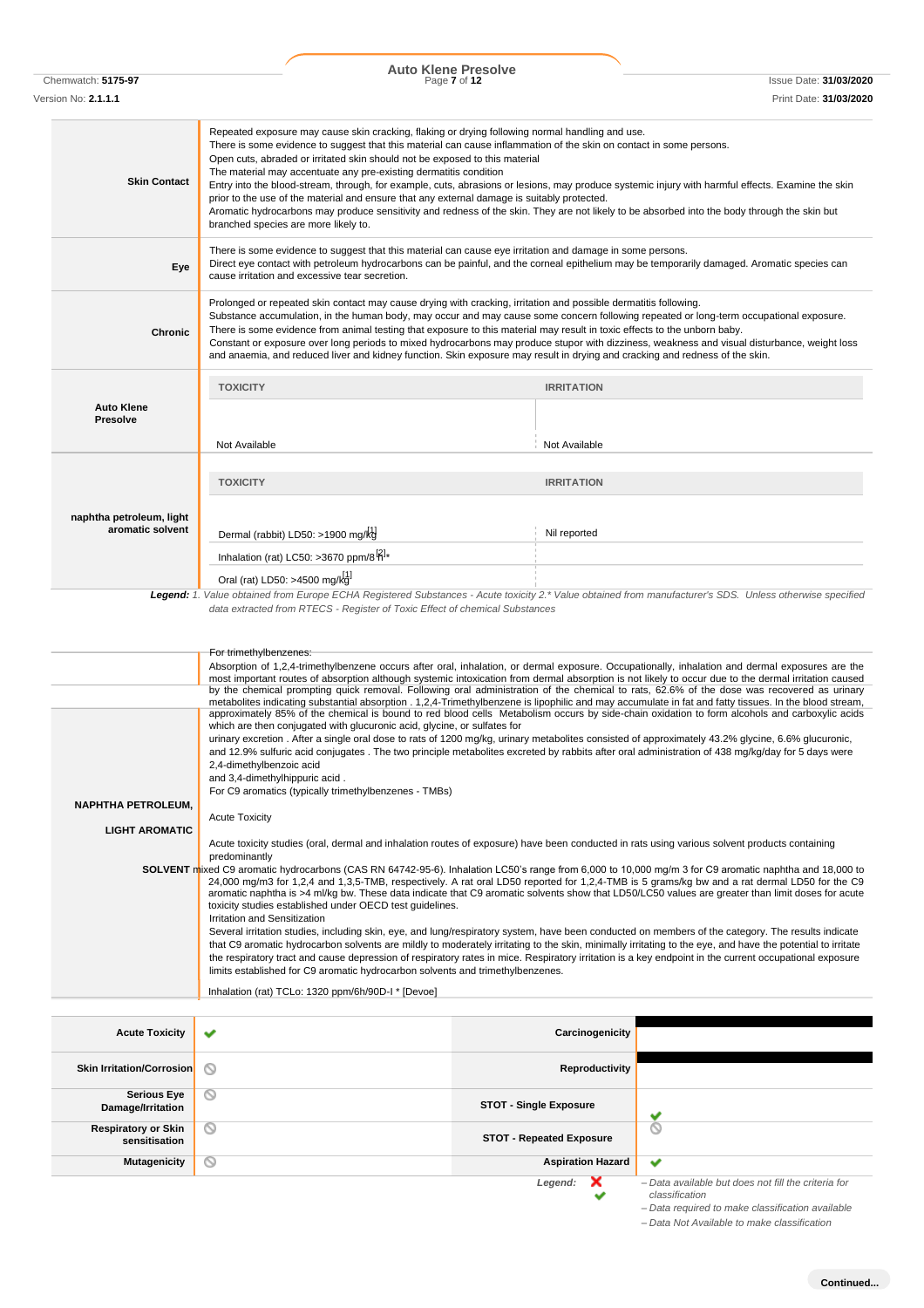| <b>Skin Contact</b>                                | Repeated exposure may cause skin cracking, flaking or drying following normal handling and use.<br>There is some evidence to suggest that this material can cause inflammation of the skin on contact in some persons.<br>Open cuts, abraded or irritated skin should not be exposed to this material<br>The material may accentuate any pre-existing dermatitis condition<br>Entry into the blood-stream, through, for example, cuts, abrasions or lesions, may produce systemic injury with harmful effects. Examine the skin<br>prior to the use of the material and ensure that any external damage is suitably protected.<br>Aromatic hydrocarbons may produce sensitivity and redness of the skin. They are not likely to be absorbed into the body through the skin but<br>branched species are more likely to.                                                                                                                                                                                                                                                                                                                                                                                                                                                                                                                                                                                                                                                                                                                                                                                                                                                                                                                                                                                                                                                                                                                                                                                                                                                                                                                    |                   |  |  |  |  |  |
|----------------------------------------------------|-------------------------------------------------------------------------------------------------------------------------------------------------------------------------------------------------------------------------------------------------------------------------------------------------------------------------------------------------------------------------------------------------------------------------------------------------------------------------------------------------------------------------------------------------------------------------------------------------------------------------------------------------------------------------------------------------------------------------------------------------------------------------------------------------------------------------------------------------------------------------------------------------------------------------------------------------------------------------------------------------------------------------------------------------------------------------------------------------------------------------------------------------------------------------------------------------------------------------------------------------------------------------------------------------------------------------------------------------------------------------------------------------------------------------------------------------------------------------------------------------------------------------------------------------------------------------------------------------------------------------------------------------------------------------------------------------------------------------------------------------------------------------------------------------------------------------------------------------------------------------------------------------------------------------------------------------------------------------------------------------------------------------------------------------------------------------------------------------------------------------------------------|-------------------|--|--|--|--|--|
| Eye                                                | There is some evidence to suggest that this material can cause eye irritation and damage in some persons.<br>Direct eye contact with petroleum hydrocarbons can be painful, and the corneal epithelium may be temporarily damaged. Aromatic species can<br>cause irritation and excessive tear secretion.                                                                                                                                                                                                                                                                                                                                                                                                                                                                                                                                                                                                                                                                                                                                                                                                                                                                                                                                                                                                                                                                                                                                                                                                                                                                                                                                                                                                                                                                                                                                                                                                                                                                                                                                                                                                                                 |                   |  |  |  |  |  |
| Chronic                                            | Prolonged or repeated skin contact may cause drying with cracking, irritation and possible dermatitis following.<br>Substance accumulation, in the human body, may occur and may cause some concern following repeated or long-term occupational exposure.<br>There is some evidence from animal testing that exposure to this material may result in toxic effects to the unborn baby.<br>Constant or exposure over long periods to mixed hydrocarbons may produce stupor with dizziness, weakness and visual disturbance, weight loss<br>and anaemia, and reduced liver and kidney function. Skin exposure may result in drying and cracking and redness of the skin.                                                                                                                                                                                                                                                                                                                                                                                                                                                                                                                                                                                                                                                                                                                                                                                                                                                                                                                                                                                                                                                                                                                                                                                                                                                                                                                                                                                                                                                                   |                   |  |  |  |  |  |
|                                                    | <b>TOXICITY</b>                                                                                                                                                                                                                                                                                                                                                                                                                                                                                                                                                                                                                                                                                                                                                                                                                                                                                                                                                                                                                                                                                                                                                                                                                                                                                                                                                                                                                                                                                                                                                                                                                                                                                                                                                                                                                                                                                                                                                                                                                                                                                                                           | <b>IRRITATION</b> |  |  |  |  |  |
| <b>Auto Klene</b><br>Presolve                      |                                                                                                                                                                                                                                                                                                                                                                                                                                                                                                                                                                                                                                                                                                                                                                                                                                                                                                                                                                                                                                                                                                                                                                                                                                                                                                                                                                                                                                                                                                                                                                                                                                                                                                                                                                                                                                                                                                                                                                                                                                                                                                                                           |                   |  |  |  |  |  |
|                                                    | Not Available                                                                                                                                                                                                                                                                                                                                                                                                                                                                                                                                                                                                                                                                                                                                                                                                                                                                                                                                                                                                                                                                                                                                                                                                                                                                                                                                                                                                                                                                                                                                                                                                                                                                                                                                                                                                                                                                                                                                                                                                                                                                                                                             | Not Available     |  |  |  |  |  |
|                                                    | <b>TOXICITY</b>                                                                                                                                                                                                                                                                                                                                                                                                                                                                                                                                                                                                                                                                                                                                                                                                                                                                                                                                                                                                                                                                                                                                                                                                                                                                                                                                                                                                                                                                                                                                                                                                                                                                                                                                                                                                                                                                                                                                                                                                                                                                                                                           | <b>IRRITATION</b> |  |  |  |  |  |
| naphtha petroleum, light<br>aromatic solvent       | Dermal (rabbit) LD50: >1900 mg/kg                                                                                                                                                                                                                                                                                                                                                                                                                                                                                                                                                                                                                                                                                                                                                                                                                                                                                                                                                                                                                                                                                                                                                                                                                                                                                                                                                                                                                                                                                                                                                                                                                                                                                                                                                                                                                                                                                                                                                                                                                                                                                                         | Nil reported      |  |  |  |  |  |
|                                                    | Inhalation (rat) LC50: >3670 ppm/8 $R^{3*}$                                                                                                                                                                                                                                                                                                                                                                                                                                                                                                                                                                                                                                                                                                                                                                                                                                                                                                                                                                                                                                                                                                                                                                                                                                                                                                                                                                                                                                                                                                                                                                                                                                                                                                                                                                                                                                                                                                                                                                                                                                                                                               |                   |  |  |  |  |  |
|                                                    | Oral (rat) LD50: >4500 mg/kg<br>Legend: 1. Value obtained from Europe ECHA Registered Substances - Acute toxicity 2.* Value obtained from manufacturer's SDS. Unless otherwise specified                                                                                                                                                                                                                                                                                                                                                                                                                                                                                                                                                                                                                                                                                                                                                                                                                                                                                                                                                                                                                                                                                                                                                                                                                                                                                                                                                                                                                                                                                                                                                                                                                                                                                                                                                                                                                                                                                                                                                  |                   |  |  |  |  |  |
| <b>NAPHTHA PETROLEUM,</b><br><b>LIGHT AROMATIC</b> | data extracted from RTECS - Register of Toxic Effect of chemical Substances<br>For trimethylbenzenes:<br>Absorption of 1,2,4-trimethylbenzene occurs after oral, inhalation, or dermal exposure. Occupationally, inhalation and dermal exposures are the<br>most important routes of absorption although systemic intoxication from dermal absorption is not likely to occur due to the dermal irritation caused<br>by the chemical prompting quick removal. Following oral administration of the chemical to rats, 62.6% of the dose was recovered as urinary<br>metabolites indicating substantial absorption . 1,2,4-Trimethylbenzene is lipophilic and may accumulate in fat and fatty tissues. In the blood stream,<br>approximately 85% of the chemical is bound to red blood cells Metabolism occurs by side-chain oxidation to form alcohols and carboxylic acids<br>which are then conjugated with glucuronic acid, glycine, or sulfates for<br>urinary excretion. After a single oral dose to rats of 1200 mg/kg, urinary metabolites consisted of approximately 43.2% glycine, 6.6% glucuronic,<br>and 12.9% sulfuric acid conjugates. The two principle metabolites excreted by rabbits after oral administration of 438 mg/kg/day for 5 days were<br>2,4-dimethylbenzoic acid<br>and 3,4-dimethylhippuric acid.<br>For C9 aromatics (typically trimethylbenzenes - TMBs)<br><b>Acute Toxicity</b><br>Acute toxicity studies (oral, dermal and inhalation routes of exposure) have been conducted in rats using various solvent products containing<br>predominantly<br>SOLVENT mixed C9 aromatic hydrocarbons (CAS RN 64742-95-6). Inhalation LC50's range from 6,000 to 10,000 mg/m 3 for C9 aromatic naphtha and 18,000 to<br>24,000 mg/m3 for 1,2,4 and 1,3,5-TMB, respectively. A rat oral LD50 reported for 1,2,4-TMB is 5 grams/kg bw and a rat dermal LD50 for the C9<br>aromatic naphtha is >4 ml/kg bw. These data indicate that C9 aromatic solvents show that LD50/LC50 values are greater than limit doses for acute<br>toxicity studies established under OECD test quidelines.<br>Irritation and Sensitization |                   |  |  |  |  |  |
|                                                    | Several irritation studies, including skin, eye, and lung/respiratory system, have been conducted on members of the category. The results indicate<br>that C9 aromatic hydrocarbon solvents are mildly to moderately irritating to the skin, minimally irritating to the eye, and have the potential to irritate<br>the respiratory tract and cause depression of respiratory rates in mice. Respiratory irritation is a key endpoint in the current occupational exposure<br>limits established for C9 aromatic hydrocarbon solvents and trimethylbenzenes.<br>Inhalation (rat) TCLo: 1320 ppm/6h/90D-I * [Devoe]                                                                                                                                                                                                                                                                                                                                                                                                                                                                                                                                                                                                                                                                                                                                                                                                                                                                                                                                                                                                                                                                                                                                                                                                                                                                                                                                                                                                                                                                                                                        |                   |  |  |  |  |  |
|                                                    |                                                                                                                                                                                                                                                                                                                                                                                                                                                                                                                                                                                                                                                                                                                                                                                                                                                                                                                                                                                                                                                                                                                                                                                                                                                                                                                                                                                                                                                                                                                                                                                                                                                                                                                                                                                                                                                                                                                                                                                                                                                                                                                                           |                   |  |  |  |  |  |
| <b>Acute Toxicity</b>                              |                                                                                                                                                                                                                                                                                                                                                                                                                                                                                                                                                                                                                                                                                                                                                                                                                                                                                                                                                                                                                                                                                                                                                                                                                                                                                                                                                                                                                                                                                                                                                                                                                                                                                                                                                                                                                                                                                                                                                                                                                                                                                                                                           | Carcinogenicity   |  |  |  |  |  |

| <b>Acute Toxicity</b>                       | ✔       | Carcinogenicity                 |                                                                       |
|---------------------------------------------|---------|---------------------------------|-----------------------------------------------------------------------|
| Skin Irritation/Corrosion                   |         | Reproductivity                  |                                                                       |
| <b>Serious Eye</b><br>Damage/Irritation     | $\circ$ | <b>STOT - Single Exposure</b>   |                                                                       |
| <b>Respiratory or Skin</b><br>sensitisation | ⊚       | <b>STOT - Repeated Exposure</b> | N                                                                     |
| <b>Mutagenicity</b>                         | $\circ$ | <b>Aspiration Hazard</b>        | $\checkmark$                                                          |
|                                             |         | ×<br>Legend:                    | - Data available but does not fill the criteria for<br>classification |

*classification*

*– Data required to make classification available*

*– Data Not Available to make classification*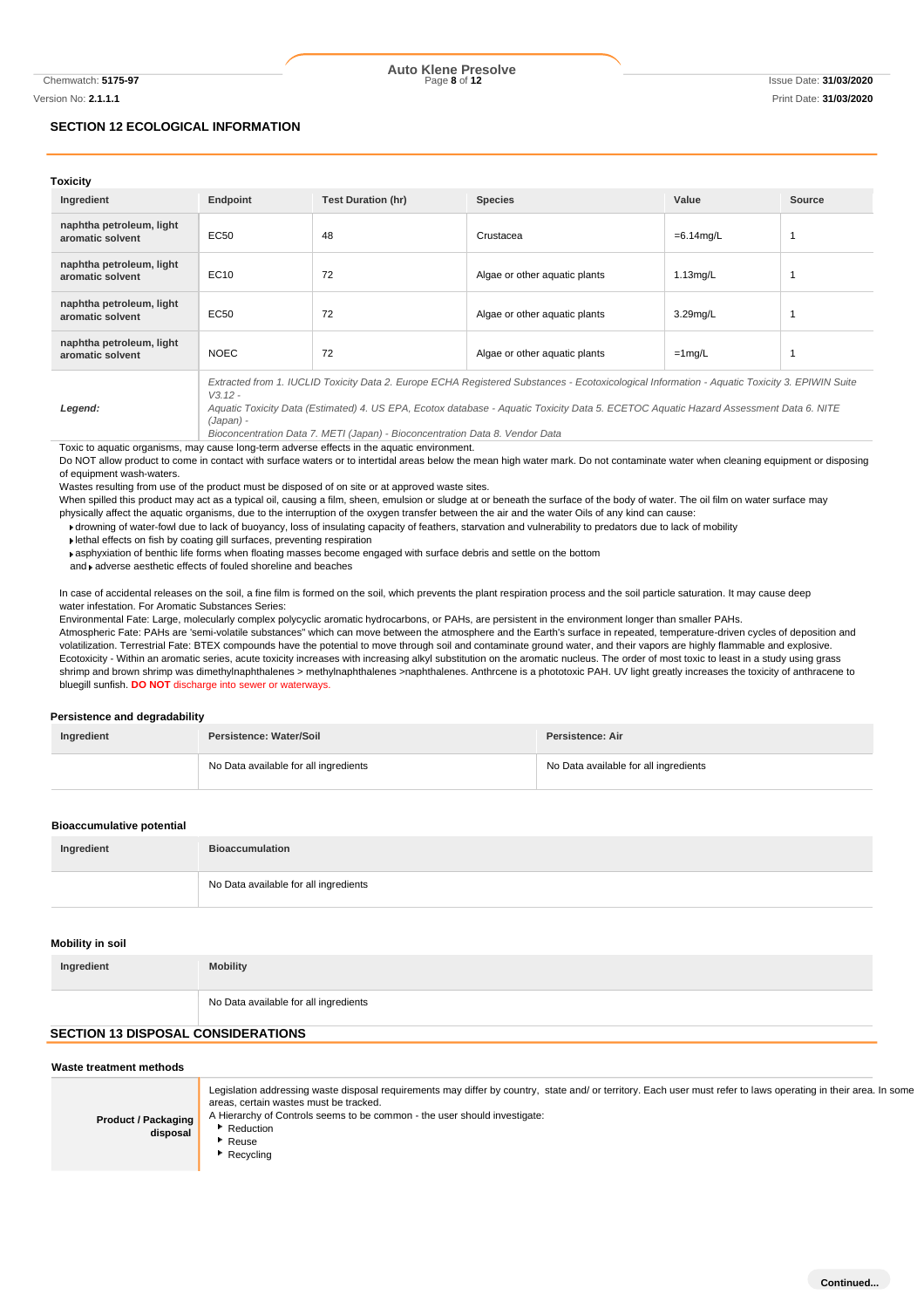### **SECTION 12 ECOLOGICAL INFORMATION**

| <b>Toxicity</b>                                                                                                                                                                                                                                                                                                |                               |                           |                               |              |        |  |  |
|----------------------------------------------------------------------------------------------------------------------------------------------------------------------------------------------------------------------------------------------------------------------------------------------------------------|-------------------------------|---------------------------|-------------------------------|--------------|--------|--|--|
| Ingredient                                                                                                                                                                                                                                                                                                     | Endpoint                      | <b>Test Duration (hr)</b> | <b>Species</b>                | Value        | Source |  |  |
| naphtha petroleum, light<br>aromatic solvent                                                                                                                                                                                                                                                                   | EC50                          | 48                        | Crustacea                     | $=6.14$ mg/L |        |  |  |
| naphtha petroleum, light<br>aromatic solvent                                                                                                                                                                                                                                                                   | EC10                          | 72                        | Algae or other aguatic plants | $1.13$ mg/L  |        |  |  |
| naphtha petroleum, light<br>EC50<br>72<br>aromatic solvent                                                                                                                                                                                                                                                     |                               |                           | Algae or other aguatic plants |              |        |  |  |
| naphtha petroleum, light<br>aromatic solvent                                                                                                                                                                                                                                                                   | Algae or other aguatic plants | $=1$ mg/L                 |                               |              |        |  |  |
| Extracted from 1. IUCLID Toxicity Data 2. Europe ECHA Registered Substances - Ecotoxicological Information - Aquatic Toxicity 3. EPIWIN Suite<br>$V3.12 -$<br>Aquatic Toxicity Data (Estimated) 4. US EPA, Ecotox database - Aquatic Toxicity Data 5. ECETOC Aquatic Hazard Assessment Data 6. NITE<br>Legend: |                               |                           |                               |              |        |  |  |

*(Japan) - Bioconcentration Data 7. METI (Japan) - Bioconcentration Data 8. Vendor Data*

Toxic to aquatic organisms, may cause long-term adverse effects in the aquatic environment.

Do NOT allow product to come in contact with surface waters or to intertidal areas below the mean high water mark. Do not contaminate water when cleaning equipment or disposing of equipment wash-waters.

Wastes resulting from use of the product must be disposed of on site or at approved waste sites.

When spilled this product may act as a typical oil, causing a film, sheen, emulsion or sludge at or beneath the surface of the body of water. The oil film on water surface may physically affect the aquatic organisms, due to the interruption of the oxygen transfer between the air and the water Oils of any kind can cause:

drowning of water-fowl due to lack of buoyancy, loss of insulating capacity of feathers, starvation and vulnerability to predators due to lack of mobility

lethal effects on fish by coating gill surfaces, preventing respiration

asphyxiation of benthic life forms when floating masses become engaged with surface debris and settle on the bottom

and **A** adverse aesthetic effects of fouled shoreline and beaches

In case of accidental releases on the soil, a fine film is formed on the soil, which prevents the plant respiration process and the soil particle saturation. It may cause deep water infestation. For Aromatic Substances Series:

Environmental Fate: Large, molecularly complex polycyclic aromatic hydrocarbons, or PAHs, are persistent in the environment longer than smaller PAHs.

Atmospheric Fate: PAHs are 'semi-volatile substances" which can move between the atmosphere and the Earth's surface in repeated, temperature-driven cycles of deposition and volatilization. Terrestrial Fate: BTEX compounds have the potential to move through soil and contaminate ground water, and their vapors are highly flammable and explosive. Ecotoxicity - Within an aromatic series, acute toxicity increases with increasing alkyl substitution on the aromatic nucleus. The order of most toxic to least in a study using grass shrimp and brown shrimp was dimethylnaphthalenes > methylnaphthalenes >naphthalenes. Anthrcene is a phototoxic PAH. UV light greatly increases the toxicity of anthracene to bluegill sunfish. **DO NOT** discharge into sewer or waterways.

#### **Persistence and degradability**

| Ingredient | Persistence: Water/Soil               | Persistence: Air                      |  |  |
|------------|---------------------------------------|---------------------------------------|--|--|
|            | No Data available for all ingredients | No Data available for all ingredients |  |  |

#### **Bioaccumulative potential**

| Ingredient | <b>Bioaccumulation</b>                |
|------------|---------------------------------------|
|            | No Data available for all ingredients |

#### **Mobility in soil**

| Ingredient | <b>Mobility</b>                       |
|------------|---------------------------------------|
|            | No Data available for all ingredients |

# **SECTION 13 DISPOSAL CONSIDERATIONS**

#### **Waste treatment methods**

| Product / Packaging<br>disposal | Legislation addressing waste disposal requirements may differ by country, state and/ or territory. Each user must refer to laws operating in their area. In some<br>areas, certain wastes must be tracked.<br>A Hierarchy of Controls seems to be common - the user should investigate:<br>Reduction<br>▸ Reuse<br>Recycling |
|---------------------------------|------------------------------------------------------------------------------------------------------------------------------------------------------------------------------------------------------------------------------------------------------------------------------------------------------------------------------|
|                                 |                                                                                                                                                                                                                                                                                                                              |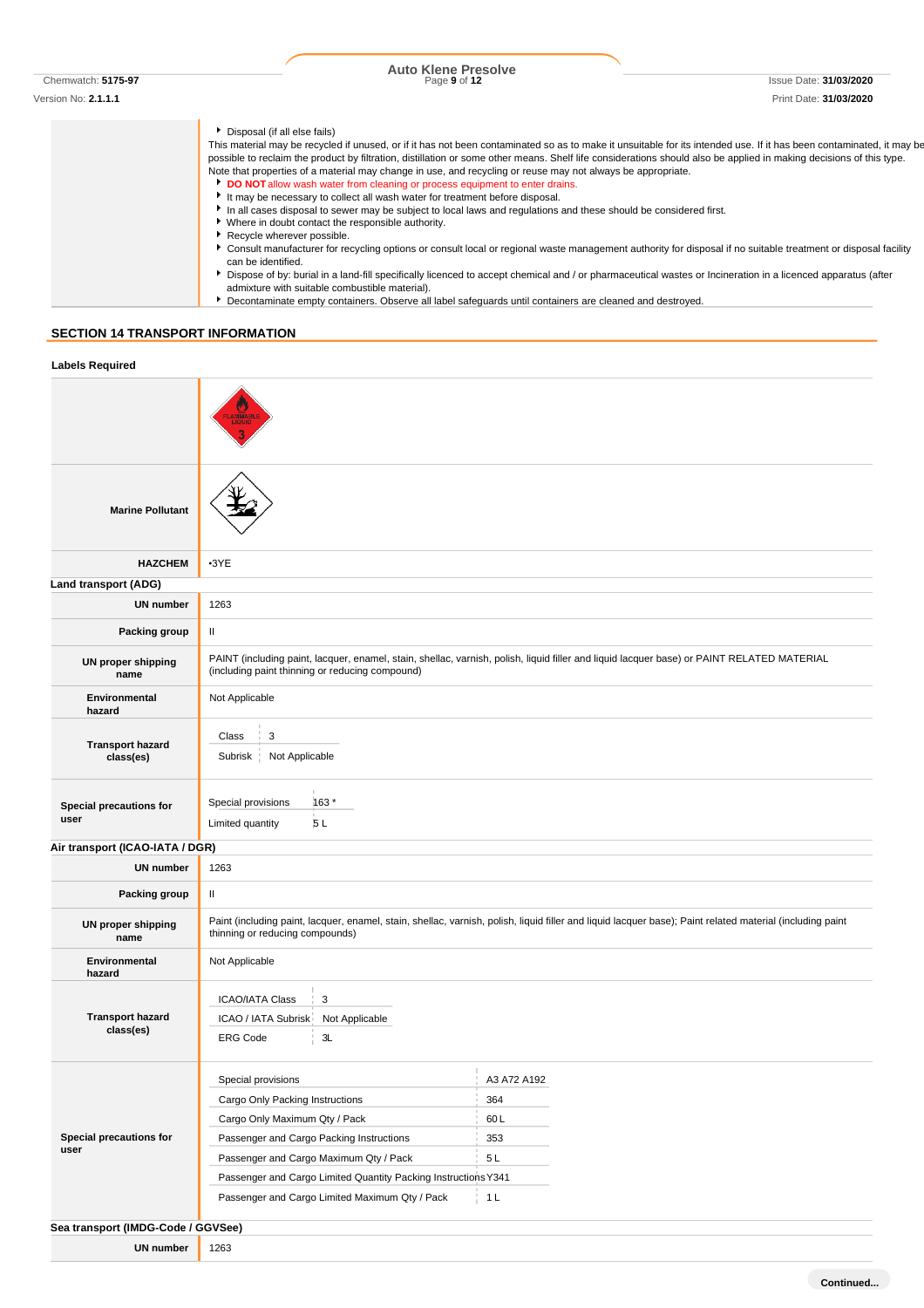Chemwatch: **5175-97** Page **9** of **12** Issue Date: **31/03/2020 Auto Klene Presolve**

Version No: **2.1.1.1** Print Date: **31/03/2020**

Disposal (if all else fails) This material may be recycled if unused, or if it has not been contaminated so as to make it unsuitable for its intended use. If it has been contaminated, it may be possible to reclaim the product by filtration, distillation or some other means. Shelf life considerations should also be applied in making decisions of this type. Note that properties of a material may change in use, and recycling or reuse may not always be appropriate. **DO NOT** allow wash water from cleaning or process equipment to enter drains. It may be necessary to collect all wash water for treatment before disposal. In all cases disposal to sewer may be subject to local laws and regulations and these should be considered first. Where in doubt contact the responsible authority. Recycle wherever possible. Consult manufacturer for recycling options or consult local or regional waste management authority for disposal if no suitable treatment or disposal facility can be identified. Dispose of by: burial in a land-fill specifically licenced to accept chemical and / or pharmaceutical wastes or Incineration in a licenced apparatus (after admixture with suitable combustible material). Decontaminate empty containers. Observe all label safeguards until containers are cleaned and destroyed.

# **SECTION 14 TRANSPORT INFORMATION**

| <b>Labels Required</b>               |                                                                                                          |                                                                                                                                                           |  |  |  |  |  |
|--------------------------------------|----------------------------------------------------------------------------------------------------------|-----------------------------------------------------------------------------------------------------------------------------------------------------------|--|--|--|--|--|
|                                      |                                                                                                          |                                                                                                                                                           |  |  |  |  |  |
| <b>Marine Pollutant</b>              |                                                                                                          |                                                                                                                                                           |  |  |  |  |  |
| <b>HAZCHEM</b>                       | $-3YE$                                                                                                   |                                                                                                                                                           |  |  |  |  |  |
| Land transport (ADG)                 |                                                                                                          |                                                                                                                                                           |  |  |  |  |  |
| <b>UN number</b>                     | 1263                                                                                                     |                                                                                                                                                           |  |  |  |  |  |
| Packing group                        | Ш.                                                                                                       |                                                                                                                                                           |  |  |  |  |  |
| <b>UN proper shipping</b><br>name    | (including paint thinning or reducing compound)                                                          | PAINT (including paint, lacquer, enamel, stain, shellac, varnish, polish, liquid filler and liquid lacquer base) or PAINT RELATED MATERIAL                |  |  |  |  |  |
| Environmental<br>hazard              | Not Applicable                                                                                           |                                                                                                                                                           |  |  |  |  |  |
|                                      | Class<br>3                                                                                               |                                                                                                                                                           |  |  |  |  |  |
| <b>Transport hazard</b><br>class(es) | Not Applicable<br>Subrisk                                                                                |                                                                                                                                                           |  |  |  |  |  |
| Special precautions for<br>user      | Special provisions<br>163*<br>5L<br>Limited quantity                                                     |                                                                                                                                                           |  |  |  |  |  |
| Air transport (ICAO-IATA / DGR)      |                                                                                                          |                                                                                                                                                           |  |  |  |  |  |
| UN number                            | 1263                                                                                                     |                                                                                                                                                           |  |  |  |  |  |
| Packing group                        | $\mathbf{H}$                                                                                             |                                                                                                                                                           |  |  |  |  |  |
| <b>UN proper shipping</b><br>name    | thinning or reducing compounds)                                                                          | Paint (including paint, lacquer, enamel, stain, shellac, varnish, polish, liquid filler and liquid lacquer base); Paint related material (including paint |  |  |  |  |  |
| Environmental<br>hazard              | Not Applicable                                                                                           |                                                                                                                                                           |  |  |  |  |  |
| <b>Transport hazard</b><br>class(es) | <b>ICAO/IATA Class</b><br>3<br>Not Applicable<br>ICAO / IATA Subrisk<br><b>ERG Code</b><br>3L            |                                                                                                                                                           |  |  |  |  |  |
|                                      | Special provisions                                                                                       | A3 A72 A192                                                                                                                                               |  |  |  |  |  |
|                                      | Cargo Only Packing Instructions                                                                          | 364                                                                                                                                                       |  |  |  |  |  |
|                                      | Cargo Only Maximum Qty / Pack                                                                            | 60L                                                                                                                                                       |  |  |  |  |  |
| Special precautions for<br>user      | Passenger and Cargo Packing Instructions<br>353                                                          |                                                                                                                                                           |  |  |  |  |  |
|                                      | Passenger and Cargo Maximum Qty / Pack<br>Passenger and Cargo Limited Quantity Packing Instructions Y341 | 5L                                                                                                                                                        |  |  |  |  |  |
|                                      | Passenger and Cargo Limited Maximum Qty / Pack                                                           | 1 L                                                                                                                                                       |  |  |  |  |  |
|                                      |                                                                                                          |                                                                                                                                                           |  |  |  |  |  |
| Sea transport (IMDG-Code / GGVSee)   |                                                                                                          |                                                                                                                                                           |  |  |  |  |  |
| <b>UN number</b>                     | 1263                                                                                                     |                                                                                                                                                           |  |  |  |  |  |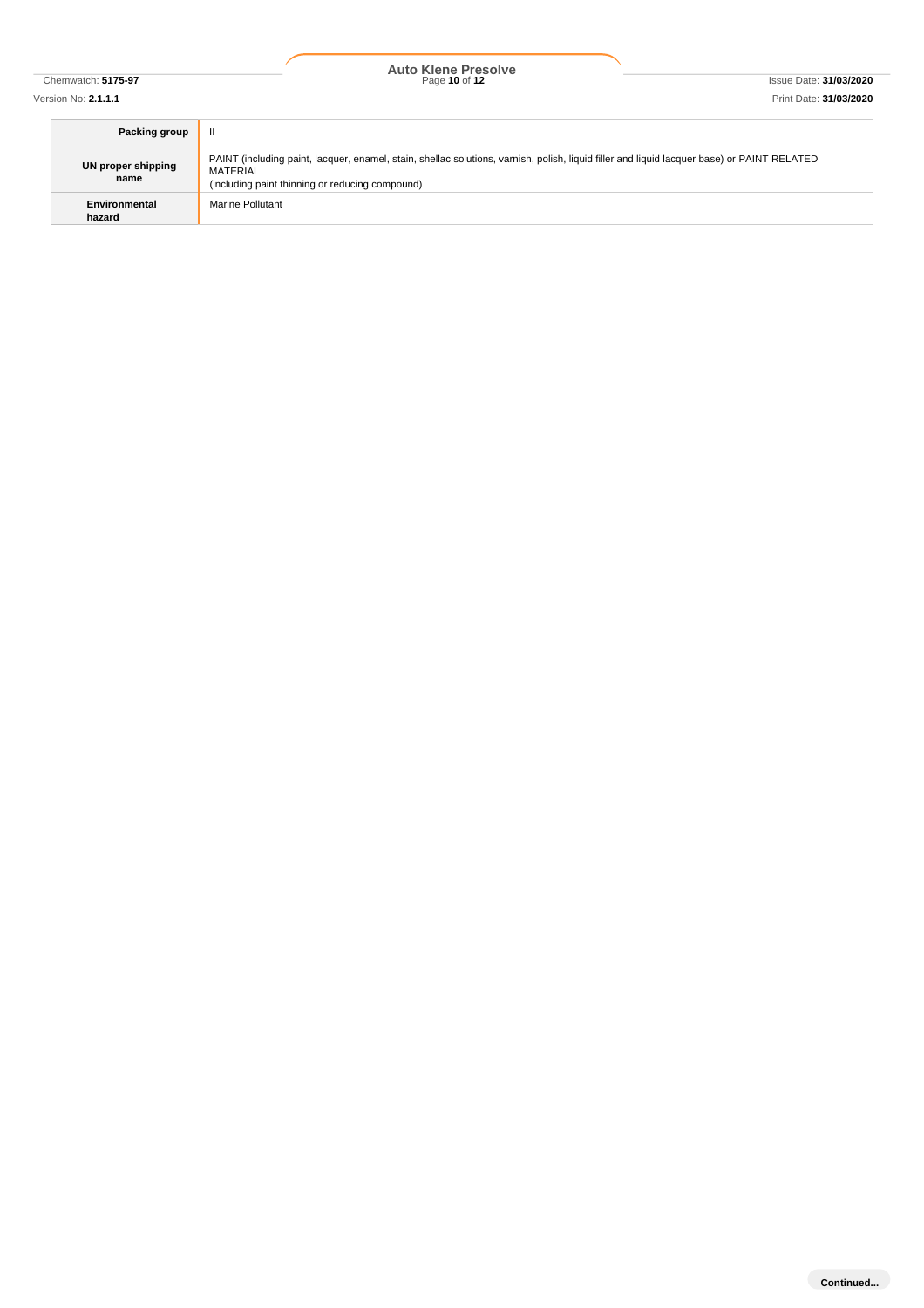Chemwatch: **5175-97** Page **10** of **12** Issue Date: **31/03/2020 Auto Klene Presolve**

| Packing group              | Ш                                                                                                                                                                                                          |
|----------------------------|------------------------------------------------------------------------------------------------------------------------------------------------------------------------------------------------------------|
| UN proper shipping<br>name | PAINT (including paint, lacquer, enamel, stain, shellac solutions, varnish, polish, liquid filler and liquid lacquer base) or PAINT RELATED<br>MATERIAL<br>(including paint thinning or reducing compound) |
| Environmental<br>hazard    | Marine Pollutant                                                                                                                                                                                           |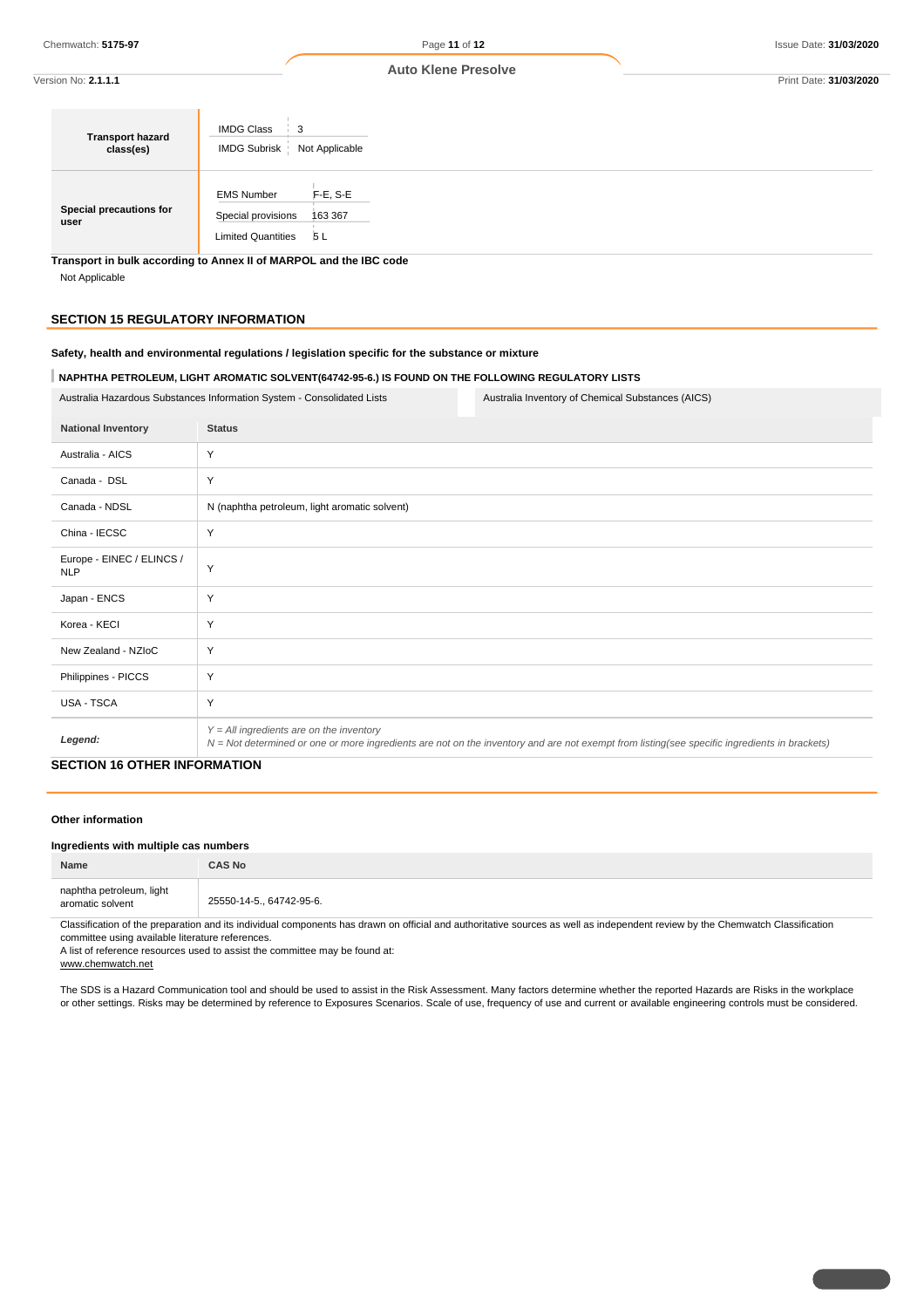| Version No: <b>2.1.1.1</b>           |                                                                      |                              |  |  | Print Date: 31/03/2020 |
|--------------------------------------|----------------------------------------------------------------------|------------------------------|--|--|------------------------|
| <b>Transport hazard</b><br>class(es) | <b>IMDG Class</b><br>$\therefore$ 3<br><b>IMDG Subrisk</b>           | Not Applicable               |  |  |                        |
| Special precautions for<br>user      | <b>EMS Number</b><br>Special provisions<br><b>Limited Quantities</b> | $F-E, S-E$<br>163 367<br>5 L |  |  |                        |

**Transport in bulk according to Annex II of MARPOL and the IBC code**

Not Applicable

### **SECTION 15 REGULATORY INFORMATION**

#### **Safety, health and environmental regulations / legislation specific for the substance or mixture**

**NAPHTHA PETROLEUM, LIGHT AROMATIC SOLVENT(64742-95-6.) IS FOUND ON THE FOLLOWING REGULATORY LISTS**

| Australia Hazardous Substances Information System - Consolidated Lists |                                                                                                                                                                                            | Australia Inventory of Chemical Substances (AICS) |
|------------------------------------------------------------------------|--------------------------------------------------------------------------------------------------------------------------------------------------------------------------------------------|---------------------------------------------------|
| <b>National Inventory</b>                                              | <b>Status</b>                                                                                                                                                                              |                                                   |
| Australia - AICS                                                       | Y                                                                                                                                                                                          |                                                   |
| Canada - DSL                                                           | Y                                                                                                                                                                                          |                                                   |
| Canada - NDSL                                                          | N (naphtha petroleum, light aromatic solvent)                                                                                                                                              |                                                   |
| China - IECSC                                                          | Y                                                                                                                                                                                          |                                                   |
| Europe - EINEC / ELINCS /<br><b>NLP</b>                                | Y                                                                                                                                                                                          |                                                   |
| Japan - ENCS                                                           | Y                                                                                                                                                                                          |                                                   |
| Korea - KECI                                                           | Y                                                                                                                                                                                          |                                                   |
| New Zealand - NZIoC                                                    | Y                                                                                                                                                                                          |                                                   |
| Philippines - PICCS                                                    | Y                                                                                                                                                                                          |                                                   |
| <b>USA - TSCA</b>                                                      | Y                                                                                                                                                                                          |                                                   |
| Legend:                                                                | $Y = All$ ingredients are on the inventory<br>N = Not determined or one or more ingredients are not on the inventory and are not exempt from listing(see specific ingredients in brackets) |                                                   |

# **SECTION 16 OTHER INFORMATION**

#### **Other information**

| Ingredients with multiple cas numbers        |                          |  |
|----------------------------------------------|--------------------------|--|
| Name                                         | <b>CAS No</b>            |  |
| naphtha petroleum, light<br>aromatic solvent | 25550-14-5., 64742-95-6. |  |

Classification of the preparation and its individual components has drawn on official and authoritative sources as well as independent review by the Chemwatch Classification committee using available literature references.

A list of reference resources used to assist the committee may be found at:

www.chemwatch.net

The SDS is a Hazard Communication tool and should be used to assist in the Risk Assessment. Many factors determine whether the reported Hazards are Risks in the workplace or other settings. Risks may be determined by reference to Exposures Scenarios. Scale of use, frequency of use and current or available engineering controls must be considered.